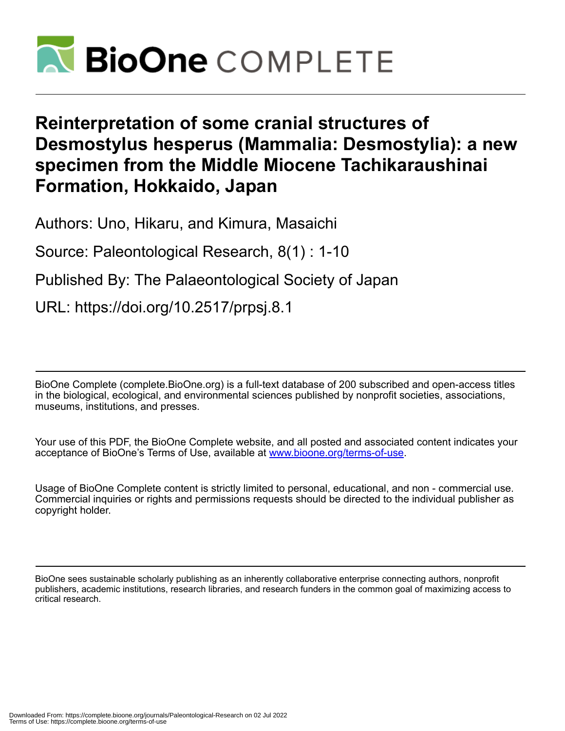

# **Reinterpretation of some cranial structures of Desmostylus hesperus (Mammalia: Desmostylia): a new specimen from the Middle Miocene Tachikaraushinai Formation, Hokkaido, Japan**

Authors: Uno, Hikaru, and Kimura, Masaichi

Source: Paleontological Research, 8(1) : 1-10

Published By: The Palaeontological Society of Japan

URL: https://doi.org/10.2517/prpsj.8.1

BioOne Complete (complete.BioOne.org) is a full-text database of 200 subscribed and open-access titles in the biological, ecological, and environmental sciences published by nonprofit societies, associations, museums, institutions, and presses.

Your use of this PDF, the BioOne Complete website, and all posted and associated content indicates your acceptance of BioOne's Terms of Use, available at www.bioone.org/terms-of-use.

Usage of BioOne Complete content is strictly limited to personal, educational, and non - commercial use. Commercial inquiries or rights and permissions requests should be directed to the individual publisher as copyright holder.

BioOne sees sustainable scholarly publishing as an inherently collaborative enterprise connecting authors, nonprofit publishers, academic institutions, research libraries, and research funders in the common goal of maximizing access to critical research.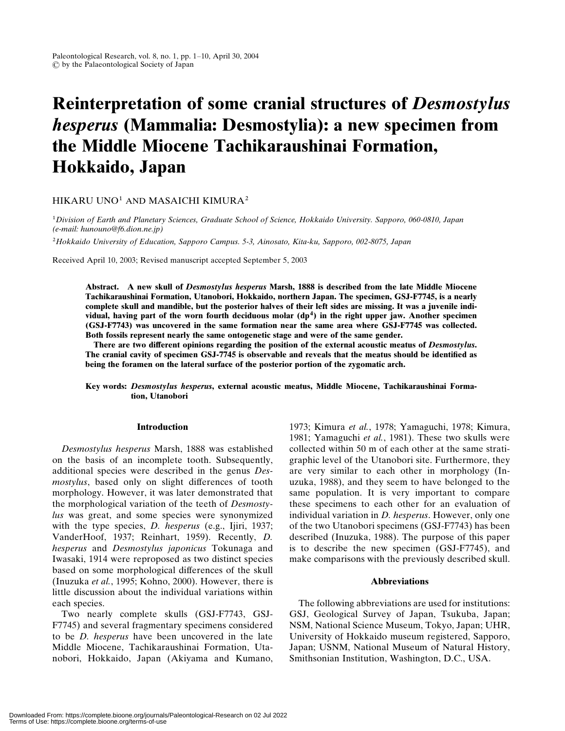# Reinterpretation of some cranial structures of Desmostylus hesperus (Mammalia: Desmostylia): a new specimen from the Middle Miocene Tachikaraushinai Formation, Hokkaido, Japan

# HIKARU UNO1 AND MASAICHI KIMURA2

1Division of Earth and Planetary Sciences, Graduate School of Science, Hokkaido University. Sapporo, 060-0810, Japan (e-mail: hunouno@f6.dion.ne.jp)

2Hokkaido University of Education, Sapporo Campus. 5-3, Ainosato, Kita-ku, Sapporo, 002-8075, Japan

Received April 10, 2003; Revised manuscript accepted September 5, 2003

Abstract. A new skull of Desmostylus hesperus Marsh, 1888 is described from the late Middle Miocene Tachikaraushinai Formation, Utanobori, Hokkaido, northern Japan. The specimen, GSJ-F7745, is a nearly complete skull and mandible, but the posterior halves of their left sides are missing. It was a juvenile individual, having part of the worn fourth deciduous molar  $(dp^4)$  in the right upper jaw. Another specimen (GSJ-F7743) was uncovered in the same formation near the same area where GSJ-F7745 was collected. Both fossils represent nearly the same ontogenetic stage and were of the same gender.

There are two different opinions regarding the position of the external acoustic meatus of Desmostylus. The cranial cavity of specimen GSJ-7745 is observable and reveals that the meatus should be identified as being the foramen on the lateral surface of the posterior portion of the zygomatic arch.

Key words: Desmostylus hesperus, external acoustic meatus, Middle Miocene, Tachikaraushinai Formation, Utanobori

## Introduction

Desmostylus hesperus Marsh, 1888 was established on the basis of an incomplete tooth. Subsequently, additional species were described in the genus Desmostylus, based only on slight differences of tooth morphology. However, it was later demonstrated that the morphological variation of the teeth of Desmostylus was great, and some species were synonymized with the type species, *D. hesperus* (e.g., Ijiri, 1937; VanderHoof, 1937; Reinhart, 1959). Recently, D. hesperus and Desmostylus japonicus Tokunaga and Iwasaki, 1914 were reproposed as two distinct species based on some morphological differences of the skull (Inuzuka et al., 1995; Kohno, 2000). However, there is little discussion about the individual variations within each species.

Two nearly complete skulls (GSJ-F7743, GSJ-F7745) and several fragmentary specimens considered to be D. hesperus have been uncovered in the late Middle Miocene, Tachikaraushinai Formation, Utanobori, Hokkaido, Japan (Akiyama and Kumano,

1973; Kimura et al., 1978; Yamaguchi, 1978; Kimura, 1981; Yamaguchi et al., 1981). These two skulls were collected within 50 m of each other at the same stratigraphic level of the Utanobori site. Furthermore, they are very similar to each other in morphology (Inuzuka, 1988), and they seem to have belonged to the same population. It is very important to compare these specimens to each other for an evaluation of individual variation in *D. hesperus*. However, only one of the two Utanobori specimens (GSJ-F7743) has been described (Inuzuka, 1988). The purpose of this paper is to describe the new specimen (GSJ-F7745), and make comparisons with the previously described skull.

#### Abbreviations

The following abbreviations are used for institutions: GSJ, Geological Survey of Japan, Tsukuba, Japan; NSM, National Science Museum, Tokyo, Japan; UHR, University of Hokkaido museum registered, Sapporo, Japan; USNM, National Museum of Natural History, Smithsonian Institution, Washington, D.C., USA.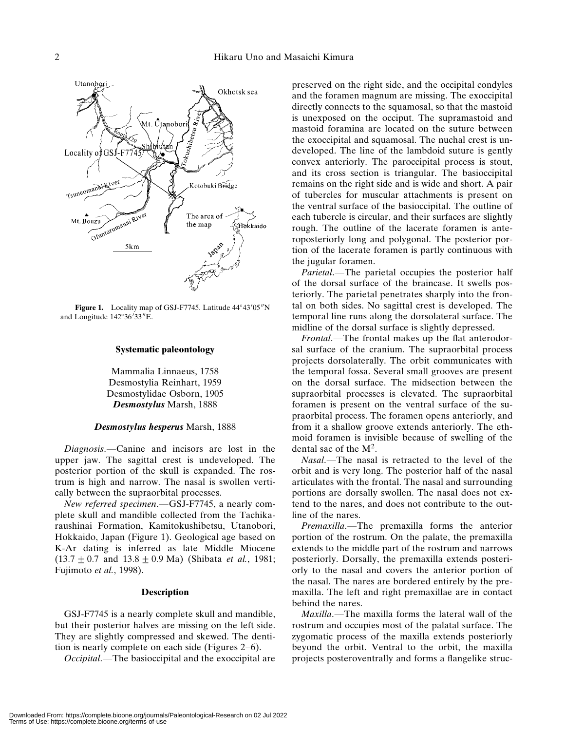

Figure 1. Locality map of GSJ-F7745. Latitude 44°43'05"N and Longitude 142°36'33"E.

### Systematic paleontology

Mammalia Linnaeus, 1758 Desmostylia Reinhart, 1959 Desmostylidae Osborn, 1905 Desmostylus Marsh, 1888

### Desmostylus hesperus Marsh, 1888

Diagnosis.—Canine and incisors are lost in the upper jaw. The sagittal crest is undeveloped. The posterior portion of the skull is expanded. The rostrum is high and narrow. The nasal is swollen vertically between the supraorbital processes.

New referred specimen.—GSJ-F7745, a nearly complete skull and mandible collected from the Tachikaraushinai Formation, Kamitokushibetsu, Utanobori, Hokkaido, Japan (Figure 1). Geological age based on K-Ar dating is inferred as late Middle Miocene  $(13.7 \pm 0.7 \text{ and } 13.8 \pm 0.9 \text{ Ma})$  (Shibata *et al.*, 1981; Fujimoto et al., 1998).

#### **Description**

GSJ-F7745 is a nearly complete skull and mandible, but their posterior halves are missing on the left side. They are slightly compressed and skewed. The dentition is nearly complete on each side (Figures 2–6).

Occipital.—The basioccipital and the exoccipital are

preserved on the right side, and the occipital condyles and the foramen magnum are missing. The exoccipital directly connects to the squamosal, so that the mastoid is unexposed on the occiput. The supramastoid and mastoid foramina are located on the suture between the exoccipital and squamosal. The nuchal crest is undeveloped. The line of the lambdoid suture is gently convex anteriorly. The paroccipital process is stout, and its cross section is triangular. The basioccipital remains on the right side and is wide and short. A pair of tubercles for muscular attachments is present on the ventral surface of the basioccipital. The outline of each tubercle is circular, and their surfaces are slightly rough. The outline of the lacerate foramen is anteroposteriorly long and polygonal. The posterior portion of the lacerate foramen is partly continuous with the jugular foramen.

Parietal.—The parietal occupies the posterior half of the dorsal surface of the braincase. It swells posteriorly. The parietal penetrates sharply into the frontal on both sides. No sagittal crest is developed. The temporal line runs along the dorsolateral surface. The midline of the dorsal surface is slightly depressed.

Frontal.—The frontal makes up the flat anterodorsal surface of the cranium. The supraorbital process projects dorsolaterally. The orbit communicates with the temporal fossa. Several small grooves are present on the dorsal surface. The midsection between the supraorbital processes is elevated. The supraorbital foramen is present on the ventral surface of the supraorbital process. The foramen opens anteriorly, and from it a shallow groove extends anteriorly. The ethmoid foramen is invisible because of swelling of the dental sac of the  $M<sup>2</sup>$ .

Nasal.—The nasal is retracted to the level of the orbit and is very long. The posterior half of the nasal articulates with the frontal. The nasal and surrounding portions are dorsally swollen. The nasal does not extend to the nares, and does not contribute to the outline of the nares.

Premaxilla.—The premaxilla forms the anterior portion of the rostrum. On the palate, the premaxilla extends to the middle part of the rostrum and narrows posteriorly. Dorsally, the premaxilla extends posteriorly to the nasal and covers the anterior portion of the nasal. The nares are bordered entirely by the premaxilla. The left and right premaxillae are in contact behind the nares.

Maxilla.—The maxilla forms the lateral wall of the rostrum and occupies most of the palatal surface. The zygomatic process of the maxilla extends posteriorly beyond the orbit. Ventral to the orbit, the maxilla projects posteroventrally and forms a flangelike struc-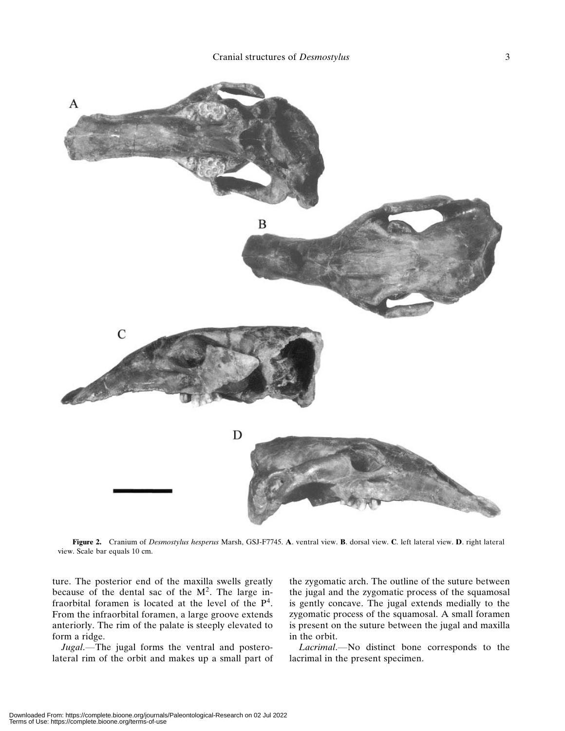

Figure 2. Cranium of Desmostylus hesperus Marsh, GSJ-F7745. A. ventral view. B. dorsal view. C. left lateral view. D. right lateral view. Scale bar equals 10 cm.

ture. The posterior end of the maxilla swells greatly because of the dental sac of the  $M^2$ . The large infraorbital foramen is located at the level of the  $P<sup>4</sup>$ . From the infraorbital foramen, a large groove extends anteriorly. The rim of the palate is steeply elevated to form a ridge.

Jugal.—The jugal forms the ventral and posterolateral rim of the orbit and makes up a small part of

the zygomatic arch. The outline of the suture between the jugal and the zygomatic process of the squamosal is gently concave. The jugal extends medially to the zygomatic process of the squamosal. A small foramen is present on the suture between the jugal and maxilla in the orbit.

Lacrimal.—No distinct bone corresponds to the lacrimal in the present specimen.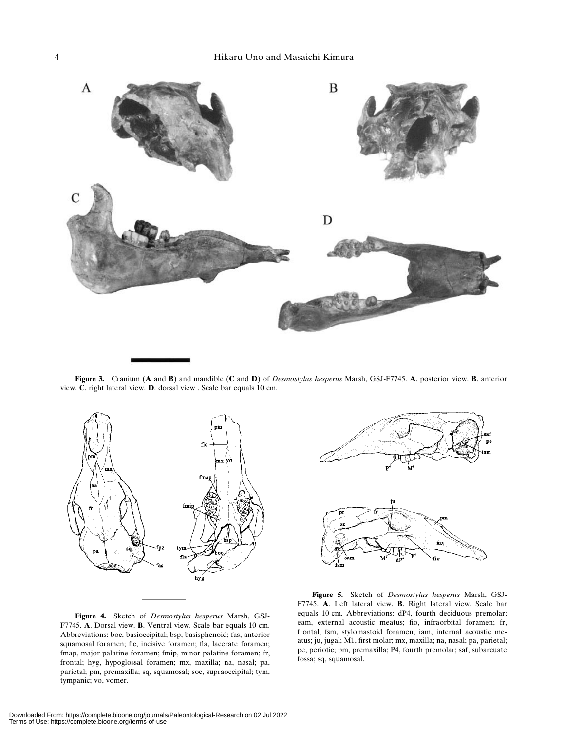

Figure 3. Cranium (A and B) and mandible (C and D) of Desmostylus hesperus Marsh, GSJ-F7745. A. posterior view. B. anterior view. C. right lateral view. D. dorsal view . Scale bar equals 10 cm.



Figure 4. Sketch of Desmostylus hesperus Marsh, GSJ-F7745. A. Dorsal view. B. Ventral view. Scale bar equals 10 cm. Abbreviations: boc, basioccipital; bsp, basisphenoid; fas, anterior squamosal foramen; fic, incisive foramen; fla, lacerate foramen; fmap, major palatine foramen; fmip, minor palatine foramen; fr, frontal; hyg, hypoglossal foramen; mx, maxilla; na, nasal; pa, parietal; pm, premaxilla; sq, squamosal; soc, supraoccipital; tym, tympanic; vo, vomer.



Figure 5. Sketch of Desmostylus hesperus Marsh, GSJ-F7745. A. Left lateral view. B. Right lateral view. Scale bar equals 10 cm. Abbreviations: dP4, fourth deciduous premolar; eam, external acoustic meatus; fio, infraorbital foramen; fr, frontal; fsm, stylomastoid foramen; iam, internal acoustic meatus; ju, jugal; M1, first molar; mx, maxilla; na, nasal; pa, parietal; pe, periotic; pm, premaxilla; P4, fourth premolar; saf, subarcuate fossa; sq, squamosal.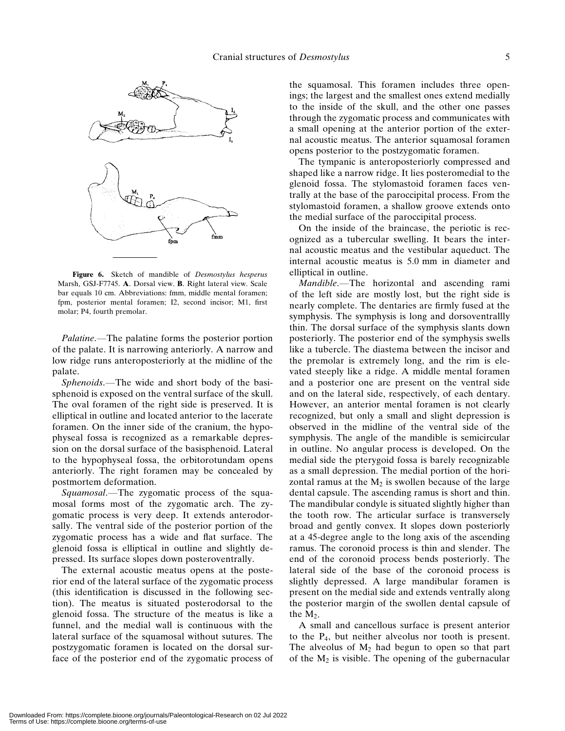

Figure 6. Sketch of mandible of Desmostylus hesperus Marsh, GSJ-F7745. A. Dorsal view. B. Right lateral view. Scale bar equals 10 cm. Abbreviations: fmm, middle mental foramen; fpm, posterior mental foramen; I2, second incisor; M1, first molar; P4, fourth premolar.

Palatine.—The palatine forms the posterior portion of the palate. It is narrowing anteriorly. A narrow and low ridge runs anteroposteriorly at the midline of the palate.

Sphenoids.—The wide and short body of the basisphenoid is exposed on the ventral surface of the skull. The oval foramen of the right side is preserved. It is elliptical in outline and located anterior to the lacerate foramen. On the inner side of the cranium, the hypophyseal fossa is recognized as a remarkable depression on the dorsal surface of the basisphenoid. Lateral to the hypophyseal fossa, the orbitorotundam opens anteriorly. The right foramen may be concealed by postmortem deformation.

Squamosal.—The zygomatic process of the squamosal forms most of the zygomatic arch. The zygomatic process is very deep. It extends anterodorsally. The ventral side of the posterior portion of the zygomatic process has a wide and flat surface. The glenoid fossa is elliptical in outline and slightly depressed. Its surface slopes down posteroventrally.

The external acoustic meatus opens at the posterior end of the lateral surface of the zygomatic process (this identification is discussed in the following section). The meatus is situated posterodorsal to the glenoid fossa. The structure of the meatus is like a funnel, and the medial wall is continuous with the lateral surface of the squamosal without sutures. The postzygomatic foramen is located on the dorsal surface of the posterior end of the zygomatic process of the squamosal. This foramen includes three openings; the largest and the smallest ones extend medially to the inside of the skull, and the other one passes through the zygomatic process and communicates with a small opening at the anterior portion of the external acoustic meatus. The anterior squamosal foramen opens posterior to the postzygomatic foramen.

The tympanic is anteroposteriorly compressed and shaped like a narrow ridge. It lies posteromedial to the glenoid fossa. The stylomastoid foramen faces ventrally at the base of the paroccipital process. From the stylomastoid foramen, a shallow groove extends onto the medial surface of the paroccipital process.

On the inside of the braincase, the periotic is recognized as a tubercular swelling. It bears the internal acoustic meatus and the vestibular aqueduct. The internal acoustic meatus is 5.0 mm in diameter and elliptical in outline.

Mandible.—The horizontal and ascending rami of the left side are mostly lost, but the right side is nearly complete. The dentaries are firmly fused at the symphysis. The symphysis is long and dorsoventrallly thin. The dorsal surface of the symphysis slants down posteriorly. The posterior end of the symphysis swells like a tubercle. The diastema between the incisor and the premolar is extremely long, and the rim is elevated steeply like a ridge. A middle mental foramen and a posterior one are present on the ventral side and on the lateral side, respectively, of each dentary. However, an anterior mental foramen is not clearly recognized, but only a small and slight depression is observed in the midline of the ventral side of the symphysis. The angle of the mandible is semicircular in outline. No angular process is developed. On the medial side the pterygoid fossa is barely recognizable as a small depression. The medial portion of the horizontal ramus at the  $M_2$  is swollen because of the large dental capsule. The ascending ramus is short and thin. The mandibular condyle is situated slightly higher than the tooth row. The articular surface is transversely broad and gently convex. It slopes down posteriorly at a 45-degree angle to the long axis of the ascending ramus. The coronoid process is thin and slender. The end of the coronoid process bends posteriorly. The lateral side of the base of the coronoid process is slightly depressed. A large mandibular foramen is present on the medial side and extends ventrally along the posterior margin of the swollen dental capsule of the  $M_2$ .

A small and cancellous surface is present anterior to the P4, but neither alveolus nor tooth is present. The alveolus of  $M_2$  had begun to open so that part of the  $M_2$  is visible. The opening of the gubernacular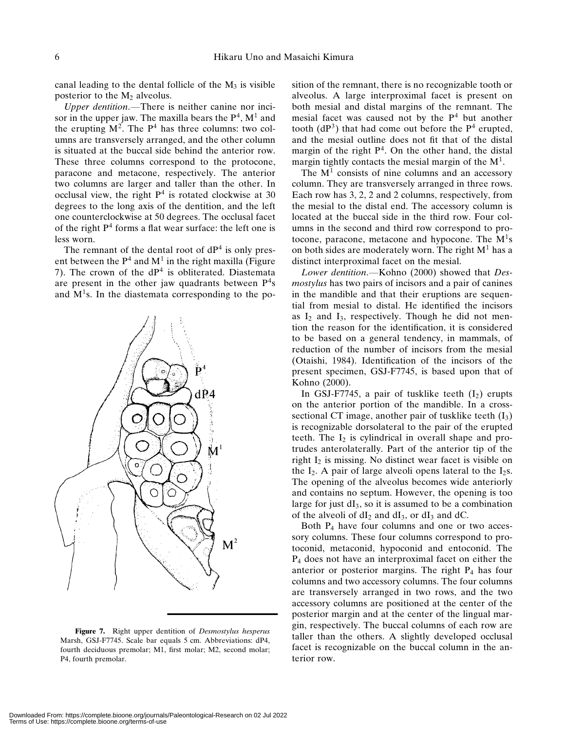canal leading to the dental follicle of the  $M_3$  is visible posterior to the  $M_2$  alveolus.

Upper dentition.—There is neither canine nor incisor in the upper jaw. The maxilla bears the  $P<sup>4</sup>$ ,  $M<sup>1</sup>$  and the erupting  $M^2$ . The  $P^4$  has three columns: two columns are transversely arranged, and the other column is situated at the buccal side behind the anterior row. These three columns correspond to the protocone, paracone and metacone, respectively. The anterior two columns are larger and taller than the other. In occlusal view, the right  $P<sup>4</sup>$  is rotated clockwise at 30 degrees to the long axis of the dentition, and the left one counterclockwise at 50 degrees. The occlusal facet of the right  $P<sup>4</sup>$  forms a flat wear surface: the left one is less worn.

The remnant of the dental root of  $dP<sup>4</sup>$  is only present between the  $P<sup>4</sup>$  and  $M<sup>1</sup>$  in the right maxilla (Figure 7). The crown of the  $dP<sup>4</sup>$  is obliterated. Diastemata are present in the other jaw quadrants between  $P<sup>4</sup>s$ and  $M<sup>1</sup>s$ . In the diastemata corresponding to the po-



Figure 7. Right upper dentition of *Desmostylus hesperus* Marsh, GSJ-F7745. Scale bar equals 5 cm. Abbreviations: dP4, fourth deciduous premolar; M1, first molar; M2, second molar; P4, fourth premolar.

sition of the remnant, there is no recognizable tooth or alveolus. A large interproximal facet is present on both mesial and distal margins of the remnant. The mesial facet was caused not by the  $P<sup>4</sup>$  but another tooth  $(dP<sup>3</sup>)$  that had come out before the  $P<sup>4</sup>$  erupted, and the mesial outline does not fit that of the distal margin of the right  $P<sup>4</sup>$ . On the other hand, the distal margin tightly contacts the mesial margin of the  $M<sup>1</sup>$ .

The  $M<sup>1</sup>$  consists of nine columns and an accessory column. They are transversely arranged in three rows. Each row has 3, 2, 2 and 2 columns, respectively, from the mesial to the distal end. The accessory column is located at the buccal side in the third row. Four columns in the second and third row correspond to protocone, paracone, metacone and hypocone. The  $M<sup>1</sup>s$ on both sides are moderately worn. The right  $M<sup>1</sup>$  has a distinct interproximal facet on the mesial.

Lower dentition.—Kohno (2000) showed that Desmostylus has two pairs of incisors and a pair of canines in the mandible and that their eruptions are sequential from mesial to distal. He identified the incisors as  $I_2$  and  $I_3$ , respectively. Though he did not mention the reason for the identification, it is considered to be based on a general tendency, in mammals, of reduction of the number of incisors from the mesial (Otaishi, 1984). Identification of the incisors of the present specimen, GSJ-F7745, is based upon that of Kohno (2000).

In GSJ-F7745, a pair of tusklike teeth  $(I_2)$  erupts on the anterior portion of the mandible. In a crosssectional CT image, another pair of tusklike teeth  $(I_3)$ is recognizable dorsolateral to the pair of the erupted teeth. The  $I_2$  is cylindrical in overall shape and protrudes anterolaterally. Part of the anterior tip of the right  $I_2$  is missing. No distinct wear facet is visible on the  $I_2$ . A pair of large alveoli opens lateral to the  $I_2$ s. The opening of the alveolus becomes wide anteriorly and contains no septum. However, the opening is too large for just  $dI_3$ , so it is assumed to be a combination of the alveoli of  $dI_2$  and  $dI_3$ , or  $dI_3$  and  $dC$ .

Both P4 have four columns and one or two accessory columns. These four columns correspond to protoconid, metaconid, hypoconid and entoconid. The P4 does not have an interproximal facet on either the anterior or posterior margins. The right  $P_4$  has four columns and two accessory columns. The four columns are transversely arranged in two rows, and the two accessory columns are positioned at the center of the posterior margin and at the center of the lingual margin, respectively. The buccal columns of each row are taller than the others. A slightly developed occlusal facet is recognizable on the buccal column in the anterior row.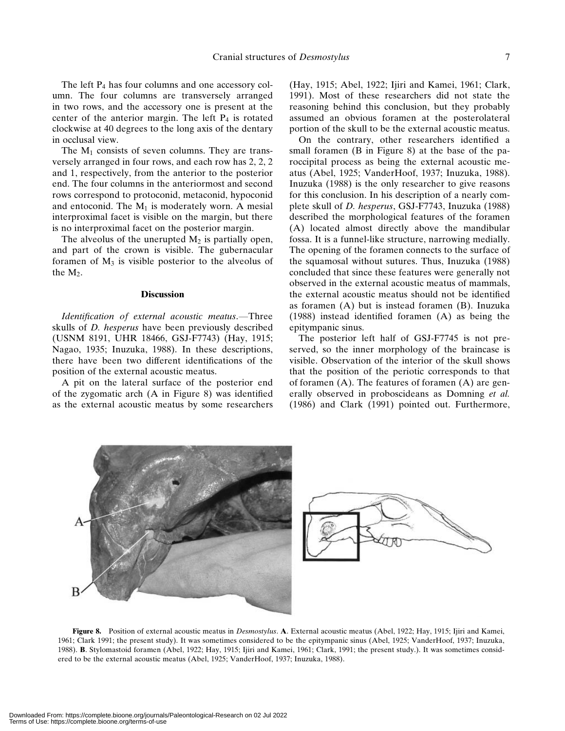The left  $P_4$  has four columns and one accessory column. The four columns are transversely arranged in two rows, and the accessory one is present at the center of the anterior margin. The left  $P_4$  is rotated clockwise at 40 degrees to the long axis of the dentary in occlusal view.

The  $M_1$  consists of seven columns. They are transversely arranged in four rows, and each row has 2, 2, 2 and 1, respectively, from the anterior to the posterior end. The four columns in the anteriormost and second rows correspond to protoconid, metaconid, hypoconid and entoconid. The  $M_1$  is moderately worn. A mesial interproximal facet is visible on the margin, but there is no interproximal facet on the posterior margin.

The alveolus of the unerupted  $M_2$  is partially open, and part of the crown is visible. The gubernacular foramen of  $M_3$  is visible posterior to the alveolus of the  $M_2$ .

#### **Discussion**

Identification of external acoustic meatus.—Three skulls of D. hesperus have been previously described (USNM 8191, UHR 18466, GSJ-F7743) (Hay, 1915; Nagao, 1935; Inuzuka, 1988). In these descriptions, there have been two different identifications of the position of the external acoustic meatus.

A pit on the lateral surface of the posterior end of the zygomatic arch (A in Figure 8) was identified as the external acoustic meatus by some researchers (Hay, 1915; Abel, 1922; Ijiri and Kamei, 1961; Clark, 1991). Most of these researchers did not state the reasoning behind this conclusion, but they probably assumed an obvious foramen at the posterolateral portion of the skull to be the external acoustic meatus.

On the contrary, other researchers identified a small foramen (B in Figure 8) at the base of the paroccipital process as being the external acoustic meatus (Abel, 1925; VanderHoof, 1937; Inuzuka, 1988). Inuzuka (1988) is the only researcher to give reasons for this conclusion. In his description of a nearly complete skull of D. hesperus, GSJ-F7743, Inuzuka (1988) described the morphological features of the foramen (A) located almost directly above the mandibular fossa. It is a funnel-like structure, narrowing medially. The opening of the foramen connects to the surface of the squamosal without sutures. Thus, Inuzuka (1988) concluded that since these features were generally not observed in the external acoustic meatus of mammals, the external acoustic meatus should not be identified as foramen (A) but is instead foramen (B). Inuzuka (1988) instead identified foramen (A) as being the epitympanic sinus.

The posterior left half of GSJ-F7745 is not preserved, so the inner morphology of the braincase is visible. Observation of the interior of the skull shows that the position of the periotic corresponds to that of foramen (A). The features of foramen (A) are generally observed in proboscideans as Domning et al. (1986) and Clark (1991) pointed out. Furthermore,



Figure 8. Position of external acoustic meatus in Desmostylus. A. External acoustic meatus (Abel, 1922; Hay, 1915; Ijiri and Kamei, 1961; Clark 1991; the present study). It was sometimes considered to be the epitympanic sinus (Abel, 1925; VanderHoof, 1937; Inuzuka, 1988). B. Stylomastoid foramen (Abel, 1922; Hay, 1915; Ijiri and Kamei, 1961; Clark, 1991; the present study.). It was sometimes considered to be the external acoustic meatus (Abel, 1925; VanderHoof, 1937; Inuzuka, 1988).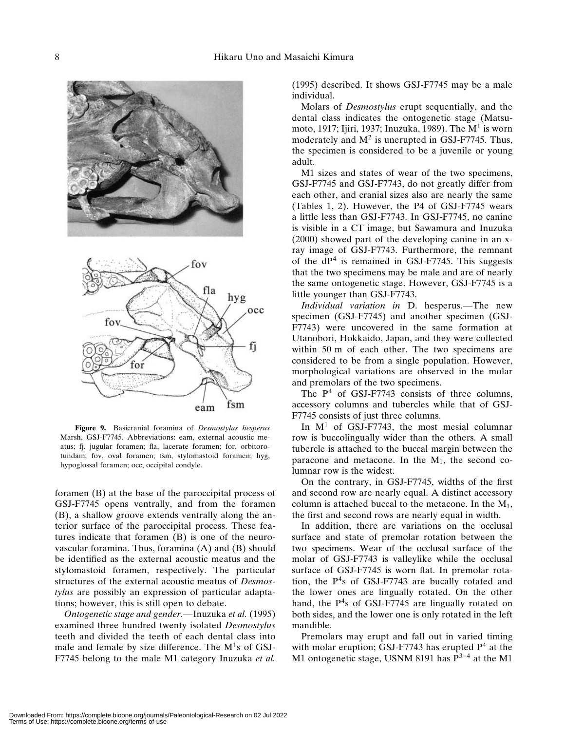

Figure 9. Basicranial foramina of Desmostylus hesperus Marsh, GSJ-F7745. Abbreviations: eam, external acoustic meatus; fj, jugular foramen; fla, lacerate foramen; for, orbitorotundam; fov, oval foramen; fsm, stylomastoid foramen; hyg, hypoglossal foramen; occ, occipital condyle.

foramen (B) at the base of the paroccipital process of GSJ-F7745 opens ventrally, and from the foramen (B), a shallow groove extends ventrally along the anterior surface of the paroccipital process. These features indicate that foramen (B) is one of the neurovascular foramina. Thus, foramina (A) and (B) should be identified as the external acoustic meatus and the stylomastoid foramen, respectively. The particular structures of the external acoustic meatus of Desmostylus are possibly an expression of particular adaptations; however, this is still open to debate.

Ontogenetic stage and gender.—Inuzuka et al. (1995) examined three hundred twenty isolated Desmostylus teeth and divided the teeth of each dental class into male and female by size difference. The  $M<sup>1</sup>s$  of GSJ-F7745 belong to the male M1 category Inuzuka et al.

(1995) described. It shows GSJ-F7745 may be a male individual.

Molars of Desmostylus erupt sequentially, and the dental class indicates the ontogenetic stage (Matsumoto, 1917; Ijiri, 1937; Inuzuka, 1989). The  $M<sup>1</sup>$  is worn moderately and  $M^2$  is unerupted in GSJ-F7745. Thus, the specimen is considered to be a juvenile or young adult.

M1 sizes and states of wear of the two specimens, GSJ-F7745 and GSJ-F7743, do not greatly differ from each other, and cranial sizes also are nearly the same (Tables 1, 2). However, the P4 of GSJ-F7745 wears a little less than GSJ-F7743. In GSJ-F7745, no canine is visible in a CT image, but Sawamura and Inuzuka (2000) showed part of the developing canine in an xray image of GSJ-F7743. Furthermore, the remnant of the  $dP<sup>4</sup>$  is remained in GSJ-F7745. This suggests that the two specimens may be male and are of nearly the same ontogenetic stage. However, GSJ-F7745 is a little younger than GSJ-F7743.

Individual variation in D. hesperus.—The new specimen (GSJ-F7745) and another specimen (GSJ-F7743) were uncovered in the same formation at Utanobori, Hokkaido, Japan, and they were collected within 50 m of each other. The two specimens are considered to be from a single population. However, morphological variations are observed in the molar and premolars of the two specimens.

The  $P<sup>4</sup>$  of GSJ-F7743 consists of three columns, accessory columns and tubercles while that of GSJ-F7745 consists of just three columns.

In  $M<sup>1</sup>$  of GSJ-F7743, the most mesial columnar row is buccolingually wider than the others. A small tubercle is attached to the buccal margin between the paracone and metacone. In the  $M_1$ , the second columnar row is the widest.

On the contrary, in GSJ-F7745, widths of the first and second row are nearly equal. A distinct accessory column is attached buccal to the metacone. In the  $M_1$ , the first and second rows are nearly equal in width.

In addition, there are variations on the occlusal surface and state of premolar rotation between the two specimens. Wear of the occlusal surface of the molar of GSJ-F7743 is valleylike while the occlusal surface of GSJ-F7745 is worn flat. In premolar rotation, the  $P<sup>4</sup>s$  of GSJ-F7743 are bucally rotated and the lower ones are lingually rotated. On the other hand, the  $P<sup>4</sup>s$  of GSJ-F7745 are lingually rotated on both sides, and the lower one is only rotated in the left mandible.

Premolars may erupt and fall out in varied timing with molar eruption; GSJ-F7743 has erupted  $P<sup>4</sup>$  at the M1 ontogenetic stage, USNM 8191 has  $P^{3-4}$  at the M1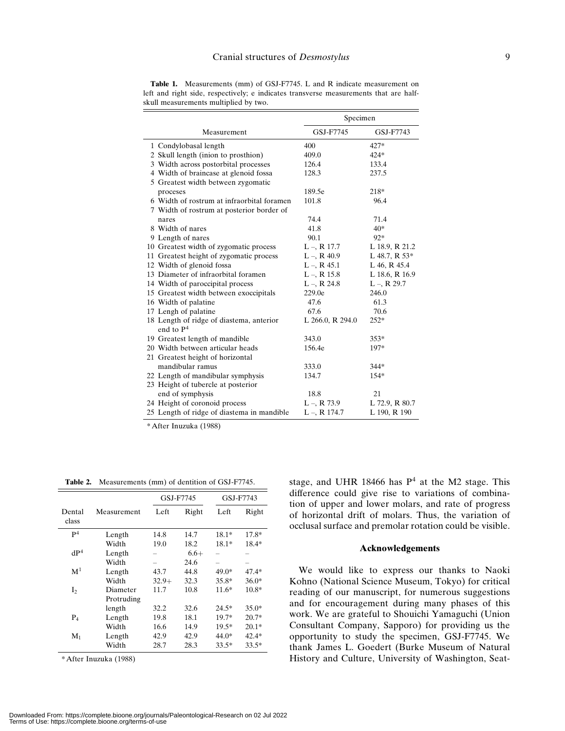|                                            | Specimen         |                  |  |
|--------------------------------------------|------------------|------------------|--|
| Measurement                                | GSJ-F7745        | GSJ-F7743        |  |
| 1 Condylobasal length                      | 400              | 427*             |  |
| 2 Skull length (inion to prosthion)        | 409.0            | $424*$           |  |
| 3 Width across postorbital processes       | 126.4            | 133.4            |  |
| 4 Width of braincase at glenoid fossa      | 128.3            | 237.5            |  |
| 5 Greatest width between zygomatic         |                  |                  |  |
| proceses                                   | 189.5e           | 218*             |  |
| 6 Width of rostrum at infraorbital foramen | 101.8            | 96.4             |  |
| 7 Width of rostrum at posterior border of  |                  |                  |  |
| nares                                      | 74.4             | 71.4             |  |
| 8 Width of nares                           | 41.8             | 40*              |  |
| 9 Length of nares                          | 90.1             | 92*              |  |
| 10 Greatest width of zygomatic process     | $L - R$ 17.7     | L 18.9, R 21.2   |  |
| 11 Greatest height of zygomatic process    | $L - R$ , R 40.9 | L 48.7, R 53*    |  |
| 12 Width of glenoid fossa                  | $L - R$ 45.1     | L 46, R 45.4     |  |
| 13 Diameter of infraorbital foramen        | $L - R$ 15.8     | L 18.6, R 16.9   |  |
| 14 Width of paroccipital process           | $L - R$ , 24.8   | $L - R$ , R 29.7 |  |
| 15 Greatest width between exoccipitals     | 229.0e           | 246.0            |  |
| 16 Width of palatine                       | 47.6             | 61.3             |  |
| 17 Lengh of palatine                       | 67.6             | 70.6             |  |
| 18 Length of ridge of diastema, anterior   | L 266.0, R 294.0 | $252*$           |  |
| end to $P4$                                |                  |                  |  |
| 19 Greatest length of mandible             | 343.0            | $353*$           |  |
| 20 Width between articular heads           | 156.4e           | 197*             |  |
| 21 Greatest height of horizontal           |                  |                  |  |
| mandibular ramus                           | 333.0            | 344*             |  |
| 22 Length of mandibular symphysis          | 134.7            | $154*$           |  |
| 23 Height of tubercle at posterior         |                  |                  |  |
| end of symphysis                           | 18.8             | 21               |  |
| 24 Height of coronoid process              | $L - R$ , 73.9   | L 72.9, R 80.7   |  |
| 25 Length of ridge of diastema in mandible | $L - R$ 174.7    | L 190, R 190     |  |

Table 1. Measurements (mm) of GSJ-F7745. L and R indicate measurement on left and right side, respectively; e indicates transverse measurements that are halfskull measurements multiplied by two.

\*After Inuzuka (1988)

Table 2. Measurements (mm) of dentition of GSJ-F7745.

|                 |             | GSJ-F7745 |        | GSJ-F7743                |         |
|-----------------|-------------|-----------|--------|--------------------------|---------|
| Dental<br>class | Measurement | Left      | Right  | Left                     | Right   |
| P <sup>4</sup>  | Length      | 14.8      | 14.7   | $18.1*$                  | 17.8*   |
|                 | Width       | 19.0      | 18.2   | $18.1*$                  | $18.4*$ |
| dP <sup>4</sup> | Length      |           | $6.6+$ |                          |         |
|                 | Width       |           | 24.6   | $\overline{\phantom{a}}$ |         |
| $\mathbf{M}^1$  | Length      | 43.7      | 44.8   | 49.0*                    | $47.4*$ |
|                 | Width       | $32.9+$   | 32.3   | $35.8*$                  | $36.0*$ |
| I <sub>2</sub>  | Diameter    | 11.7      | 10.8   | $11.6*$                  | $10.8*$ |
|                 | Protruding  |           |        |                          |         |
|                 | length      | 32.2      | 32.6   | $24.5*$                  | $35.0*$ |
| $P_4$           | Length      | 19.8      | 18.1   | $19.7*$                  | $20.7*$ |
|                 | Width       | 16.6      | 14.9   | $19.5*$                  | $20.1*$ |
| $M_1$           | Length      | 42.9      | 42.9   | 44.0*                    | $42.4*$ |
|                 | Width       | 28.7      | 28.3   | $33.5*$                  | $33.5*$ |

\*After Inuzuka (1988)

stage, and UHR 18466 has  $P<sup>4</sup>$  at the M2 stage. This difference could give rise to variations of combination of upper and lower molars, and rate of progress of horizontal drift of molars. Thus, the variation of occlusal surface and premolar rotation could be visible.

## Acknowledgements

We would like to express our thanks to Naoki Kohno (National Science Museum, Tokyo) for critical reading of our manuscript, for numerous suggestions and for encouragement during many phases of this work. We are grateful to Shouichi Yamaguchi (Union Consultant Company, Sapporo) for providing us the opportunity to study the specimen, GSJ-F7745. We thank James L. Goedert (Burke Museum of Natural History and Culture, University of Washington, Seat